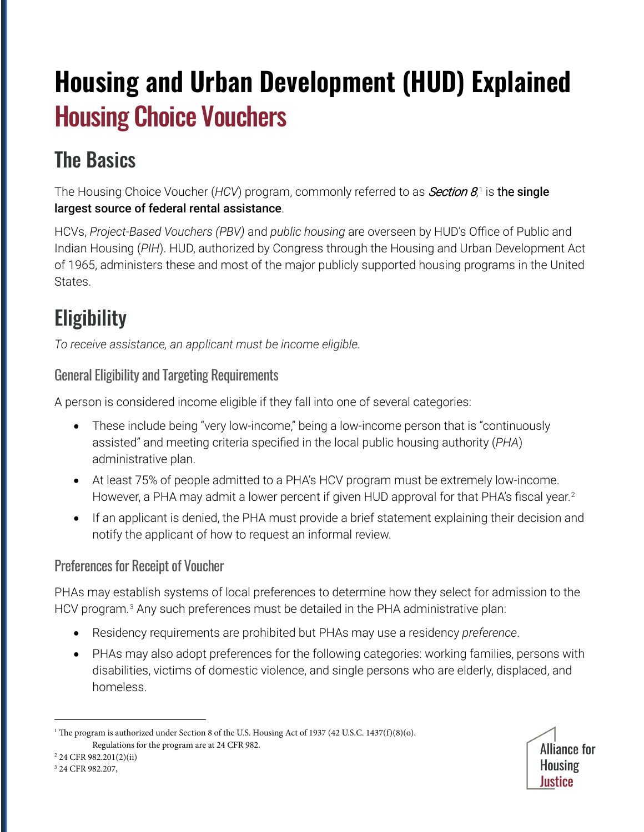# **Housing and Urban Development (HUD) Explained** Housing Choice Vouchers

# The Basics

The Housing Choice Voucher (HCV) program, commonly referred to as *Section 8*,[1](#page-0-0) is the single largest source of federal rental assistance.

HCVs, *Project-Based Vouchers (PBV)* and *public housing* are overseen by HUD's Office of Public and Indian Housing (*PIH*). HUD, authorized by Congress through the Housing and Urban Development Act of 1965, administers these and most of the major publicly supported housing programs in the United States.

# **Eligibility**

*To receive assistance, an applicant must be income eligible.*

### General Eligibility and Targeting Requirements

A person is considered income eligible if they fall into one of several categories:

- These include being "very low-income," being a low-income person that is "continuously assisted" and meeting criteria specified in the local public housing authority (*PHA*) administrative plan.
- At least 75% of people admitted to a PHA's HCV program must be extremely low-income. However, a PHA may admit a lower percent if given HUD approval for that PHA's fiscal year.<sup>[2](#page-0-1)</sup>
- If an applicant is denied, the PHA must provide a brief statement explaining their decision and notify the applicant of how to request an informal review.

### Preferences for Receipt of Voucher

PHAs may establish systems of local preferences to determine how they select for admission to the HCV program.<sup>[3](#page-0-2)</sup> Any such preferences must be detailed in the PHA administrative plan:

- Residency requirements are prohibited but PHAs may use a residency *preference*.
- PHAs may also adopt preferences for the following categories: working families, persons with disabilities, victims of domestic violence, and single persons who are elderly, displaced, and homeless.

<span id="page-0-1"></span><sup>2</sup> 24 CFR 982.201(2)(ii)

<span id="page-0-0"></span><sup>&</sup>lt;sup>1</sup> The program is authorized under Section 8 of the U.S. Housing Act of 1937 (42 U.S.C. 1437(f)(8)(o). Regulations for the program are at 24 CFR 982.

**Alliance for Housing** Justice

<span id="page-0-2"></span><sup>3</sup> 24 CFR 982.207,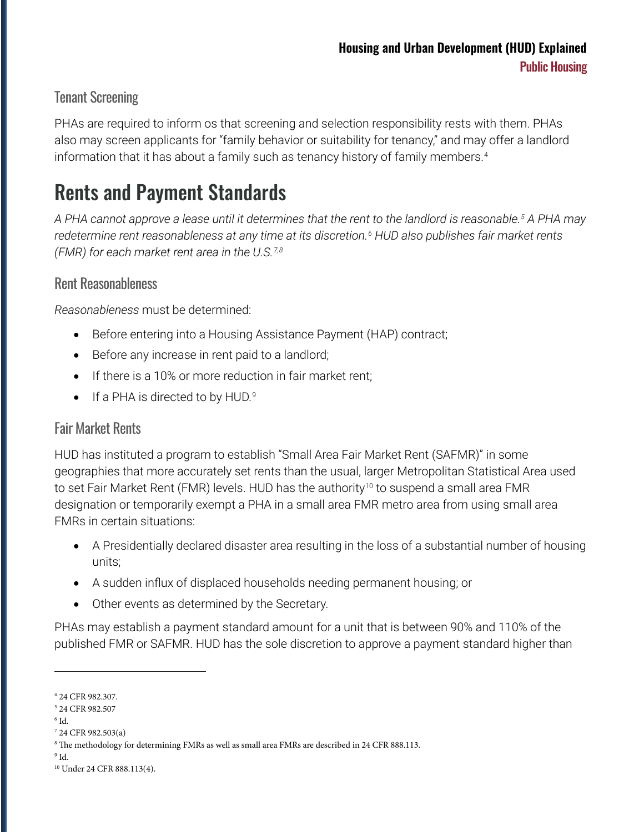#### Tenant Screening

PHAs are required to inform os that screening and selection responsibility rests with them. PHAs also may screen applicants for "family behavior or suitability for tenancy," and may offer a landlord information that it has about a family such as tenancy history of family members.<sup>4</sup>

### Rents and Payment Standards

*A PHA cannot approve a lease until it determines that the rent to the landlord is reasonable[.5](#page-1-1) A PHA may redetermine rent reasonableness at any time at its discretion.[6](#page-1-2) HUD also publishes fair market rents (FMR) for each market rent area in the U.S.[7,](#page-1-3)[8](#page-1-4)*

#### Rent Reasonableness

*Reasonableness* must be determined:

- Before entering into a Housing Assistance Payment (HAP) contract;
- Before any increase in rent paid to a landlord;
- If there is a 10% or more reduction in fair market rent;
- If a PHA is directed to by HUD.<sup>[9](#page-1-5)</sup>

#### Fair Market Rents

HUD has instituted a program to establish "Small Area Fair Market Rent (SAFMR)" in some geographies that more accurately set rents than the usual, larger Metropolitan Statistical Area used to set Fair Market Rent (FMR) levels. HUD has the authority<sup>[10](#page-1-6)</sup> to suspend a small area FMR designation or temporarily exempt a PHA in a small area FMR metro area from using small area FMRs in certain situations:

- A Presidentially declared disaster area resulting in the loss of a substantial number of housing units;
- A sudden influx of displaced households needing permanent housing; or
- Other events as determined by the Secretary.

PHAs may establish a payment standard amount for a unit that is between 90% and 110% of the published FMR or SAFMR. HUD has the sole discretion to approve a payment standard higher than

<span id="page-1-0"></span><sup>4</sup> 24 CFR 982.307.

<span id="page-1-1"></span><sup>5</sup> 24 CFR 982.507

<span id="page-1-2"></span> $6$  Id.

<span id="page-1-3"></span><sup>7</sup> 24 CFR 982.503(a)

<span id="page-1-4"></span><sup>&</sup>lt;sup>8</sup> The methodology for determining FMRs as well as small area FMRs are described in 24 CFR 888.113.

<span id="page-1-5"></span> $9$  Id.

<span id="page-1-6"></span><sup>10</sup> Under 24 CFR 888.113(4).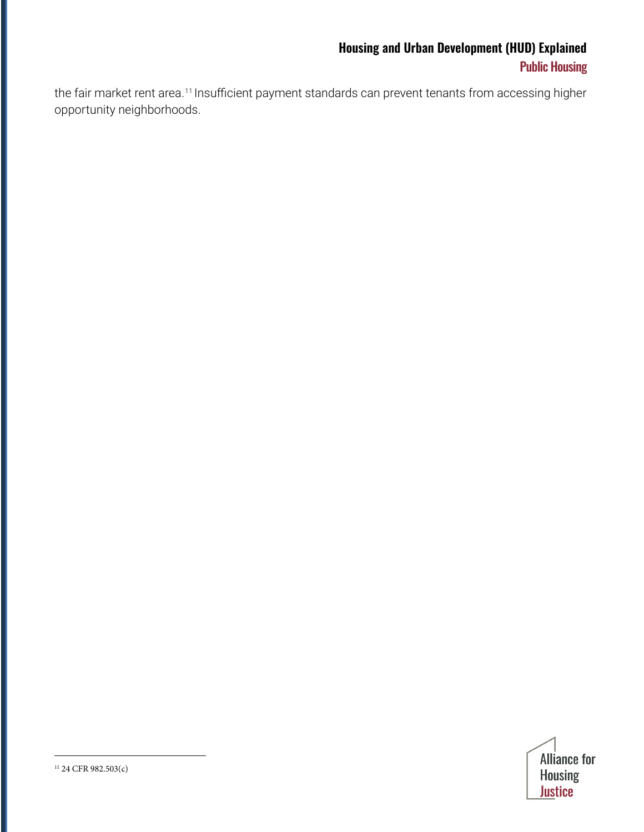### **Housing and Urban Development (HUD) Explained** Public Housing

<span id="page-2-0"></span>the fair market rent area.<sup>[11](#page-2-0)</sup> Insufficient payment standards can prevent tenants from accessing higher opportunity neighborhoods.